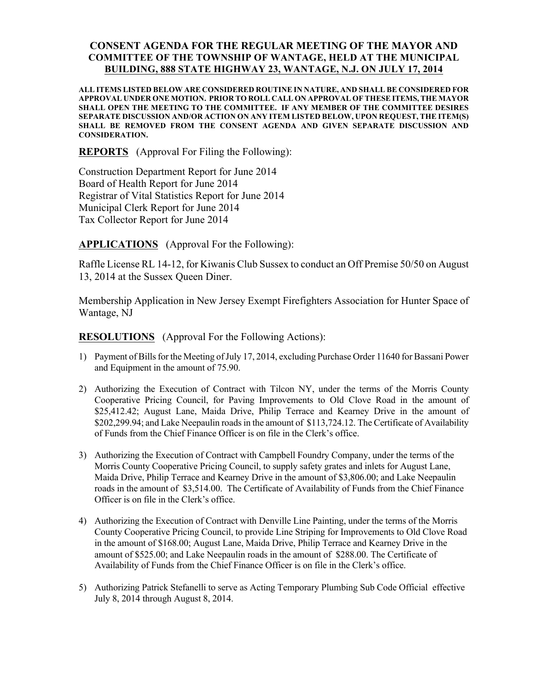## CONSENT AGENDA FOR THE REGULAR MEETING OF THE MAYOR AND COMMITTEE OF THE TOWNSHIP OF WANTAGE, HELD AT THE MUNICIPAL BUILDING, 888 STATE HIGHWAY 23, WANTAGE, N.J. ON JULY 17, 2014

ALL ITEMS LISTED BELOW ARE CONSIDERED ROUTINE IN NATURE, AND SHALL BE CONSIDERED FOR APPROVAL UNDER ONE MOTION. PRIOR TO ROLL CALL ON APPROVAL OF THESE ITEMS, THE MAYOR SHALL OPEN THE MEETING TO THE COMMITTEE. IF ANY MEMBER OF THE COMMITTEE DESIRES SEPARATE DISCUSSION AND/OR ACTION ON ANY ITEM LISTED BELOW, UPON REQUEST, THE ITEM(S) SHALL BE REMOVED FROM THE CONSENT AGENDA AND GIVEN SEPARATE DISCUSSION AND CONSIDERATION.

REPORTS (Approval For Filing the Following):

Construction Department Report for June 2014 Board of Health Report for June 2014 Registrar of Vital Statistics Report for June 2014 Municipal Clerk Report for June 2014 Tax Collector Report for June 2014

APPLICATIONS (Approval For the Following):

Raffle License RL 14-12, for Kiwanis Club Sussex to conduct an Off Premise 50/50 on August 13, 2014 at the Sussex Queen Diner.

Membership Application in New Jersey Exempt Firefighters Association for Hunter Space of Wantage, NJ

RESOLUTIONS (Approval For the Following Actions):

- 1) Payment of Bills for the Meeting of July 17, 2014, excluding Purchase Order 11640 for Bassani Power and Equipment in the amount of 75.90.
- 2) Authorizing the Execution of Contract with Tilcon NY, under the terms of the Morris County Cooperative Pricing Council, for Paving Improvements to Old Clove Road in the amount of \$25,412.42; August Lane, Maida Drive, Philip Terrace and Kearney Drive in the amount of \$202,299.94; and Lake Neepaulin roads in the amount of \$113,724.12. The Certificate of Availability of Funds from the Chief Finance Officer is on file in the Clerk's office.
- 3) Authorizing the Execution of Contract with Campbell Foundry Company, under the terms of the Morris County Cooperative Pricing Council, to supply safety grates and inlets for August Lane, Maida Drive, Philip Terrace and Kearney Drive in the amount of \$3,806.00; and Lake Neepaulin roads in the amount of \$3,514.00. The Certificate of Availability of Funds from the Chief Finance Officer is on file in the Clerk's office.
- 4) Authorizing the Execution of Contract with Denville Line Painting, under the terms of the Morris County Cooperative Pricing Council, to provide Line Striping for Improvements to Old Clove Road in the amount of \$168.00; August Lane, Maida Drive, Philip Terrace and Kearney Drive in the amount of \$525.00; and Lake Neepaulin roads in the amount of \$288.00. The Certificate of Availability of Funds from the Chief Finance Officer is on file in the Clerk's office.
- 5) Authorizing Patrick Stefanelli to serve as Acting Temporary Plumbing Sub Code Official effective July 8, 2014 through August 8, 2014.